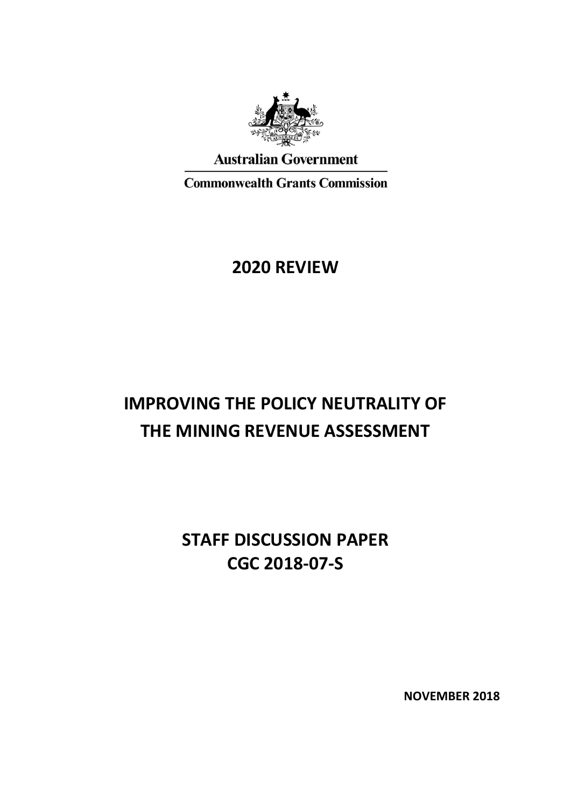

**Australian Government** 

**Commonwealth Grants Commission** 

# **2020 REVIEW**

# **IMPROVING THE POLICY NEUTRALITY OF THE MINING REVENUE ASSESSMENT**

**STAFF DISCUSSION PAPER CGC 2018-07-S**

**NOVEMBER 2018**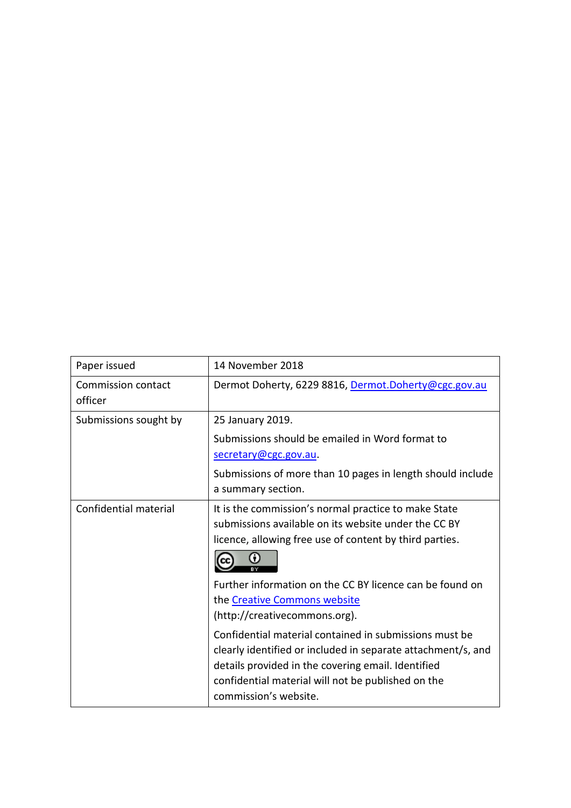| Paper issued                  | 14 November 2018                                                                                                                                                                                                                                            |
|-------------------------------|-------------------------------------------------------------------------------------------------------------------------------------------------------------------------------------------------------------------------------------------------------------|
| Commission contact<br>officer | Dermot Doherty, 6229 8816, Dermot.Doherty@cgc.gov.au                                                                                                                                                                                                        |
| Submissions sought by         | 25 January 2019.                                                                                                                                                                                                                                            |
|                               | Submissions should be emailed in Word format to<br>secretary@cgc.gov.au.                                                                                                                                                                                    |
|                               | Submissions of more than 10 pages in length should include<br>a summary section.                                                                                                                                                                            |
| Confidential material         | It is the commission's normal practice to make State<br>submissions available on its website under the CC BY<br>licence, allowing free use of content by third parties.<br>∩                                                                                |
|                               | Further information on the CC BY licence can be found on<br>the Creative Commons website<br>(http://creativecommons.org).                                                                                                                                   |
|                               | Confidential material contained in submissions must be<br>clearly identified or included in separate attachment/s, and<br>details provided in the covering email. Identified<br>confidential material will not be published on the<br>commission's website. |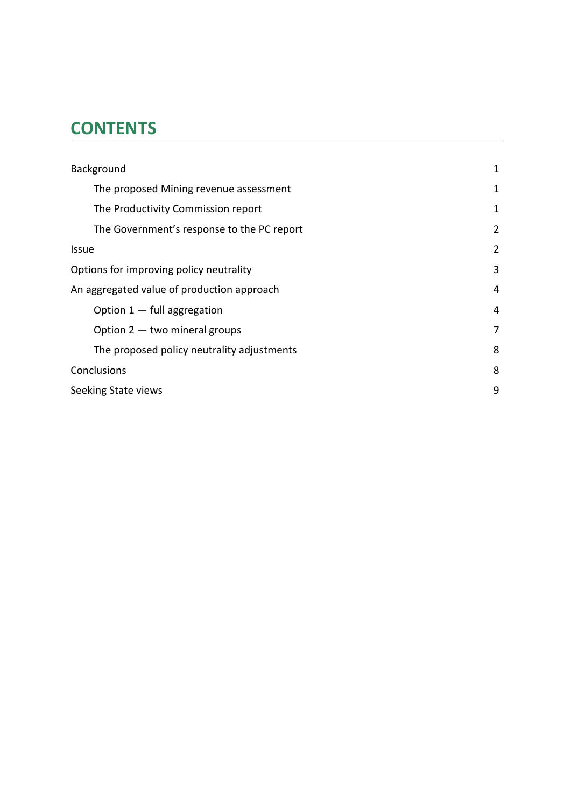# **CONTENTS**

| Background                                 | 1              |
|--------------------------------------------|----------------|
| The proposed Mining revenue assessment     | 1              |
| The Productivity Commission report         | 1              |
| The Government's response to the PC report | $\overline{2}$ |
| <b>Issue</b>                               | $\overline{2}$ |
| Options for improving policy neutrality    | 3              |
| An aggregated value of production approach | 4              |
| Option $1 -$ full aggregation              | 4              |
| Option $2 -$ two mineral groups            | 7              |
| The proposed policy neutrality adjustments | 8              |
| Conclusions                                | 8              |
| Seeking State views                        | 9              |
|                                            |                |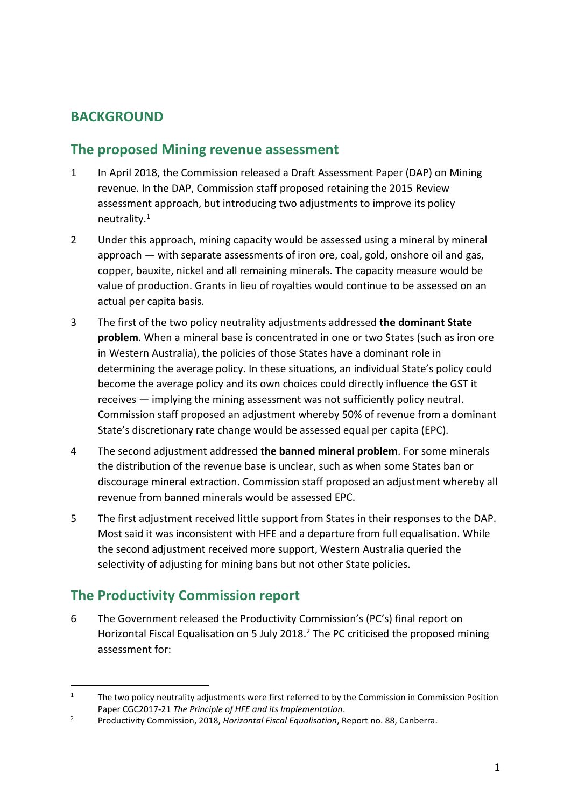## <span id="page-3-0"></span>**BACKGROUND**

#### <span id="page-3-1"></span>**The proposed Mining revenue assessment**

- 1 In April 2018, the Commission released a Draft Assessment Paper (DAP) on Mining revenue. In the DAP, Commission staff proposed retaining the 2015 Review assessment approach, but introducing two adjustments to improve its policy neutrality.<sup>1</sup>
- 2 Under this approach, mining capacity would be assessed using a mineral by mineral approach — with separate assessments of iron ore, coal, gold, onshore oil and gas, copper, bauxite, nickel and all remaining minerals. The capacity measure would be value of production. Grants in lieu of royalties would continue to be assessed on an actual per capita basis.
- 3 The first of the two policy neutrality adjustments addressed **the dominant State problem**. When a mineral base is concentrated in one or two States (such as iron ore in Western Australia), the policies of those States have a dominant role in determining the average policy. In these situations, an individual State's policy could become the average policy and its own choices could directly influence the GST it receives — implying the mining assessment was not sufficiently policy neutral. Commission staff proposed an adjustment whereby 50% of revenue from a dominant State's discretionary rate change would be assessed equal per capita (EPC).
- 4 The second adjustment addressed **the banned mineral problem**. For some minerals the distribution of the revenue base is unclear, such as when some States ban or discourage mineral extraction. Commission staff proposed an adjustment whereby all revenue from banned minerals would be assessed EPC.
- 5 The first adjustment received little support from States in their responses to the DAP. Most said it was inconsistent with HFE and a departure from full equalisation. While the second adjustment received more support, Western Australia queried the selectivity of adjusting for mining bans but not other State policies.

### <span id="page-3-2"></span>**The Productivity Commission report**

 $\overline{a}$ 

6 The Government released the Productivity Commission's (PC's) final report on Horizontal Fiscal Equalisation on 5 July 2018.<sup>2</sup> The PC criticised the proposed mining assessment for:

<sup>&</sup>lt;sup>1</sup> The two policy neutrality adjustments were first referred to by the Commission in Commission Position Paper CGC2017-21 *The Principle of HFE and its Implementation*.

<sup>2</sup> Productivity Commission, 2018, *Horizontal Fiscal Equalisation*, Report no. 88, Canberra.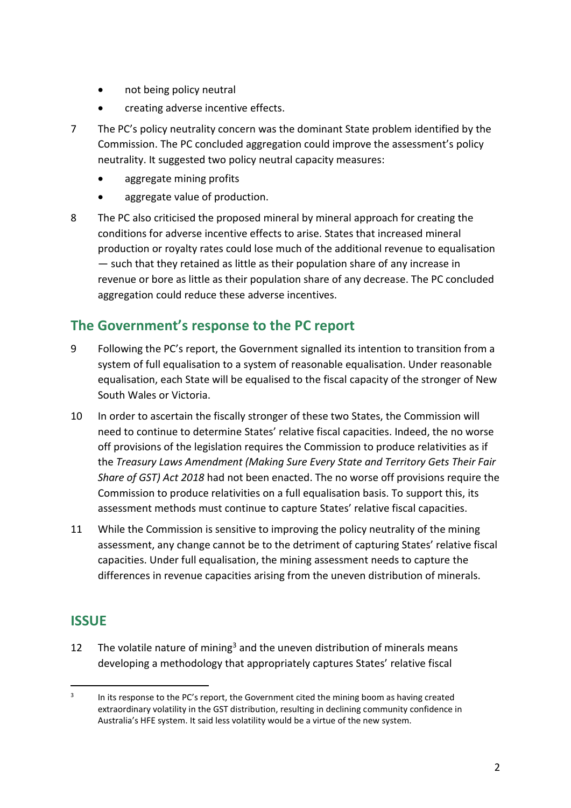- not being policy neutral
- creating adverse incentive effects.
- 7 The PC's policy neutrality concern was the dominant State problem identified by the Commission. The PC concluded aggregation could improve the assessment's policy neutrality. It suggested two policy neutral capacity measures:
	- aggregate mining profits
	- aggregate value of production.
- 8 The PC also criticised the proposed mineral by mineral approach for creating the conditions for adverse incentive effects to arise. States that increased mineral production or royalty rates could lose much of the additional revenue to equalisation — such that they retained as little as their population share of any increase in revenue or bore as little as their population share of any decrease. The PC concluded aggregation could reduce these adverse incentives.

### <span id="page-4-0"></span>**The Government's response to the PC report**

- 9 Following the PC's report, the Government signalled its intention to transition from a system of full equalisation to a system of reasonable equalisation. Under reasonable equalisation, each State will be equalised to the fiscal capacity of the stronger of New South Wales or Victoria.
- 10 In order to ascertain the fiscally stronger of these two States, the Commission will need to continue to determine States' relative fiscal capacities. Indeed, the no worse off provisions of the legislation requires the Commission to produce relativities as if the *Treasury Laws Amendment (Making Sure Every State and Territory Gets Their Fair Share of GST) Act 2018* had not been enacted. The no worse off provisions require the Commission to produce relativities on a full equalisation basis. To support this, its assessment methods must continue to capture States' relative fiscal capacities.
- 11 While the Commission is sensitive to improving the policy neutrality of the mining assessment, any change cannot be to the detriment of capturing States' relative fiscal capacities. Under full equalisation, the mining assessment needs to capture the differences in revenue capacities arising from the uneven distribution of minerals.

### <span id="page-4-1"></span>**ISSUE**

 $\overline{a}$ 

12 The volatile nature of mining<sup>3</sup> and the uneven distribution of minerals means developing a methodology that appropriately captures States' relative fiscal

<sup>3</sup> In its response to the PC's report, the Government cited the mining boom as having created extraordinary volatility in the GST distribution, resulting in declining community confidence in Australia's HFE system. It said less volatility would be a virtue of the new system.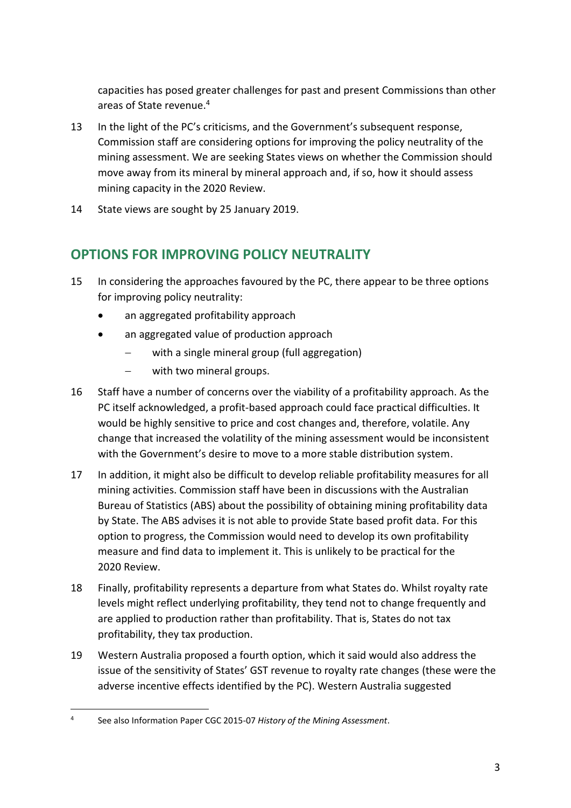capacities has posed greater challenges for past and present Commissions than other areas of State revenue.<sup>4</sup>

- 13 In the light of the PC's criticisms, and the Government's subsequent response, Commission staff are considering options for improving the policy neutrality of the mining assessment. We are seeking States views on whether the Commission should move away from its mineral by mineral approach and, if so, how it should assess mining capacity in the 2020 Review.
- <span id="page-5-0"></span>14 State views are sought by 25 January 2019.

# **OPTIONS FOR IMPROVING POLICY NEUTRALITY**

- 15 In considering the approaches favoured by the PC, there appear to be three options for improving policy neutrality:
	- an aggregated profitability approach
	- an aggregated value of production approach
		- with a single mineral group (full aggregation)
		- with two mineral groups.
- 16 Staff have a number of concerns over the viability of a profitability approach. As the PC itself acknowledged, a profit-based approach could face practical difficulties. It would be highly sensitive to price and cost changes and, therefore, volatile. Any change that increased the volatility of the mining assessment would be inconsistent with the Government's desire to move to a more stable distribution system.
- 17 In addition, it might also be difficult to develop reliable profitability measures for all mining activities. Commission staff have been in discussions with the Australian Bureau of Statistics (ABS) about the possibility of obtaining mining profitability data by State. The ABS advises it is not able to provide State based profit data. For this option to progress, the Commission would need to develop its own profitability measure and find data to implement it. This is unlikely to be practical for the 2020 Review.
- 18 Finally, profitability represents a departure from what States do. Whilst royalty rate levels might reflect underlying profitability, they tend not to change frequently and are applied to production rather than profitability. That is, States do not tax profitability, they tax production.
- 19 Western Australia proposed a fourth option, which it said would also address the issue of the sensitivity of States' GST revenue to royalty rate changes (these were the adverse incentive effects identified by the PC). Western Australia suggested

 $\overline{a}$ 4 See also Information Paper CGC 2015-07 *History of the Mining Assessment*.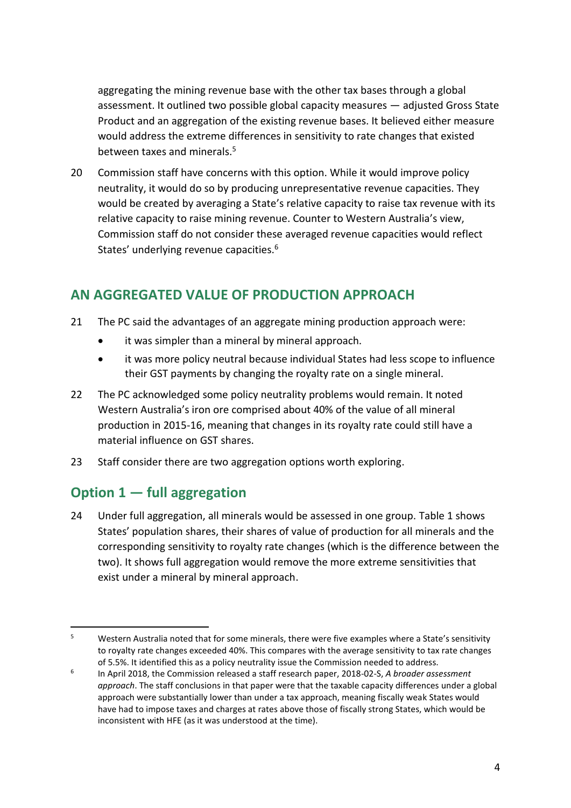aggregating the mining revenue base with the other tax bases through a global assessment. It outlined two possible global capacity measures — adjusted Gross State Product and an aggregation of the existing revenue bases. It believed either measure would address the extreme differences in sensitivity to rate changes that existed between taxes and minerals.<sup>5</sup>

20 Commission staff have concerns with this option. While it would improve policy neutrality, it would do so by producing unrepresentative revenue capacities. They would be created by averaging a State's relative capacity to raise tax revenue with its relative capacity to raise mining revenue. Counter to Western Australia's view, Commission staff do not consider these averaged revenue capacities would reflect States' underlying revenue capacities.<sup>6</sup>

## <span id="page-6-0"></span>**AN AGGREGATED VALUE OF PRODUCTION APPROACH**

- 21 The PC said the advantages of an aggregate mining production approach were:
	- it was simpler than a mineral by mineral approach.
	- it was more policy neutral because individual States had less scope to influence their GST payments by changing the royalty rate on a single mineral.
- 22 The PC acknowledged some policy neutrality problems would remain. It noted Western Australia's iron ore comprised about 40% of the value of all mineral production in 2015-16, meaning that changes in its royalty rate could still have a material influence on GST shares.
- 23 Staff consider there are two aggregation options worth exploring.

# <span id="page-6-1"></span>**Option 1 — full aggregation**

24 Under full aggregation, all minerals would be assessed in one group. [Table](#page-7-0) 1 shows States' population shares, their shares of value of production for all minerals and the corresponding sensitivity to royalty rate changes (which is the difference between the two). It shows full aggregation would remove the more extreme sensitivities that exist under a mineral by mineral approach.

 $\overline{a}$ <sup>5</sup> Western Australia noted that for some minerals, there were five examples where a State's sensitivity to royalty rate changes exceeded 40%. This compares with the average sensitivity to tax rate changes of 5.5%. It identified this as a policy neutrality issue the Commission needed to address.

<sup>6</sup> In April 2018, the Commission released a staff research paper, 2018-02-S, *A broader assessment approach*. The staff conclusions in that paper were that the taxable capacity differences under a global approach were substantially lower than under a tax approach, meaning fiscally weak States would have had to impose taxes and charges at rates above those of fiscally strong States, which would be inconsistent with HFE (as it was understood at the time).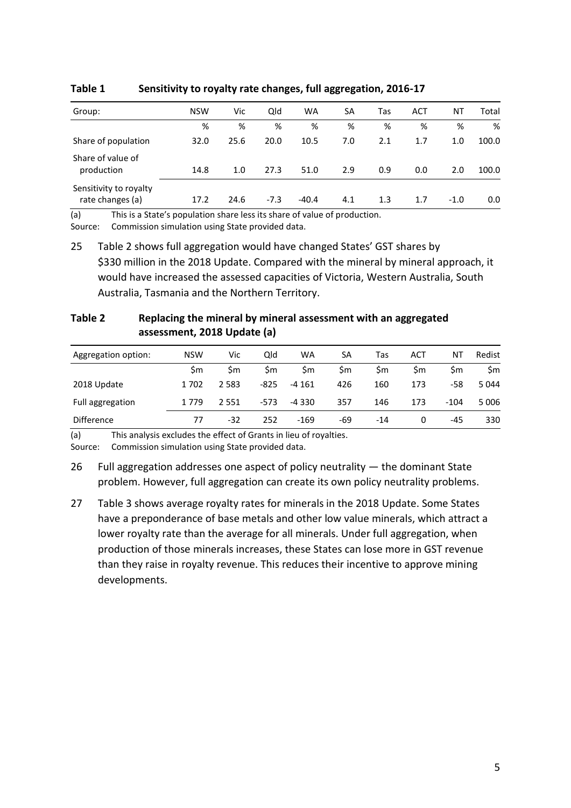| Group:                                     | <b>NSW</b> | Vic  | Qld    | <b>WA</b> | SA  | Tas | <b>ACT</b> | ΝT     | Total |
|--------------------------------------------|------------|------|--------|-----------|-----|-----|------------|--------|-------|
|                                            | %          | %    | %      | %         | %   | %   | %          | %      | %     |
| Share of population                        | 32.0       | 25.6 | 20.0   | 10.5      | 7.0 | 2.1 | 1.7        | 1.0    | 100.0 |
| Share of value of<br>production            | 14.8       | 1.0  | 27.3   | 51.0      | 2.9 | 0.9 | 0.0        | 2.0    | 100.0 |
| Sensitivity to royalty<br>rate changes (a) | 17.2       | 24.6 | $-7.3$ | $-40.4$   | 4.1 | 1.3 | 1.7        | $-1.0$ | 0.0   |
|                                            |            |      |        |           |     |     |            |        |       |

<span id="page-7-0"></span>**Table 1 Sensitivity to royalty rate changes, full aggregation, 2016-17**

(a) This is a State's population share less its share of value of production.

Source: Commission simulation using State provided data.

25 [Table](#page-7-1) 2 shows full aggregation would have changed States' GST shares by \$330 million in the 2018 Update. Compared with the mineral by mineral approach, it would have increased the assessed capacities of Victoria, Western Australia, South Australia, Tasmania and the Northern Territory.

<span id="page-7-1"></span>

| Table 2 | Replacing the mineral by mineral assessment with an aggregated |
|---------|----------------------------------------------------------------|
|         | assessment, 2018 Update (a)                                    |

| Aggregation option: | <b>NSW</b> | Vic     | Qld    | <b>WA</b> | SA  | Tas   | ACT | ΝT     | Redist  |
|---------------------|------------|---------|--------|-----------|-----|-------|-----|--------|---------|
|                     | Sm         | Sm      | \$m    | Sm        | Sm  | Sm    | Sm  | Sm     | \$m     |
| 2018 Update         | 1702       | 2 5 8 3 | $-825$ | -4 161    | 426 | 160   | 173 | -58    | 5 0 4 4 |
| Full aggregation    | 1 779      | 2 5 5 1 | $-573$ | $-4330$   | 357 | 146   | 173 | $-104$ | 5 0 0 6 |
| <b>Difference</b>   | 77         | $-32$   | 252    | -169      | -69 | $-14$ | 0   | -45    | 330     |

(a) This analysis excludes the effect of Grants in lieu of royalties.

27 [Table 3](#page-8-0) shows average royalty rates for minerals in the 2018 Update. Some States have a preponderance of base metals and other low value minerals, which attract a lower royalty rate than the average for all minerals. Under full aggregation, when production of those minerals increases, these States can lose more in GST revenue than they raise in royalty revenue. This reduces their incentive to approve mining developments.

Source: Commission simulation using State provided data.

<sup>26</sup> Full aggregation addresses one aspect of policy neutrality — the dominant State problem. However, full aggregation can create its own policy neutrality problems.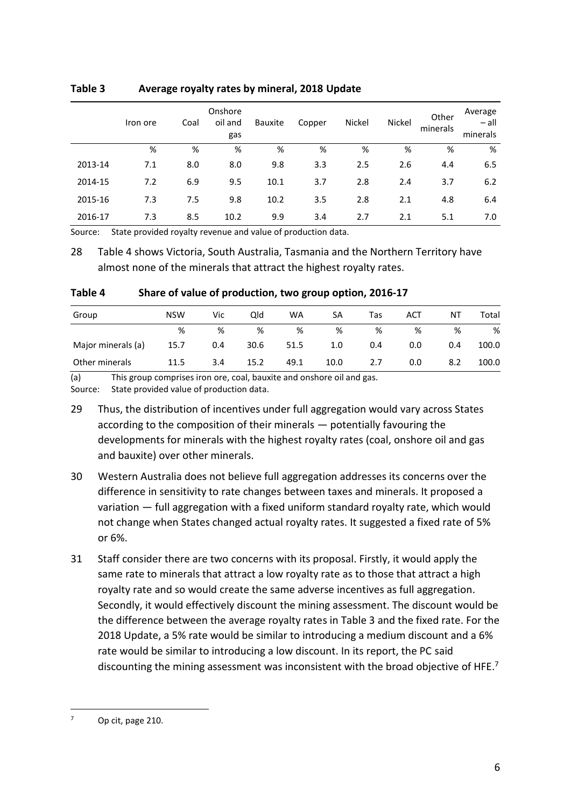|         | Iron ore | Coal | Onshore<br>oil and<br>gas | <b>Bauxite</b> | Copper | Nickel | Nickel | Other<br>minerals | Average<br>$-$ all<br>minerals |
|---------|----------|------|---------------------------|----------------|--------|--------|--------|-------------------|--------------------------------|
|         | %        | %    | %                         | %              | %      | %      | %      | %                 | %                              |
| 2013-14 | 7.1      | 8.0  | 8.0                       | 9.8            | 3.3    | 2.5    | 2.6    | 4.4               | 6.5                            |
| 2014-15 | 7.2      | 6.9  | 9.5                       | 10.1           | 3.7    | 2.8    | 2.4    | 3.7               | 6.2                            |
| 2015-16 | 7.3      | 7.5  | 9.8                       | 10.2           | 3.5    | 2.8    | 2.1    | 4.8               | 6.4                            |
| 2016-17 | 7.3      | 8.5  | 10.2                      | 9.9            | 3.4    | 2.7    | 2.1    | 5.1               | 7.0                            |

#### <span id="page-8-0"></span>**Table 3 Average royalty rates by mineral, 2018 Update**

Source: State provided royalty revenue and value of production data.

28 [Table](#page-8-1) 4 shows Victoria, South Australia, Tasmania and the Northern Territory have almost none of the minerals that attract the highest royalty rates.

#### <span id="page-8-1"></span>**Table 4 Share of value of production, two group option, 2016-17**

| Group              | <b>NSW</b> | Vic | Qld  | WA   | SA   | Tas | ACT | Ν1  | Total |
|--------------------|------------|-----|------|------|------|-----|-----|-----|-------|
|                    | %          | %   | %    | %    | %    | %   | %   | %   | %     |
| Major minerals (a) | 15.7       | 0.4 | 30.6 | 51.5 | 1.0  | 0.4 | 0.0 | 0.4 | 100.0 |
| Other minerals     | 11.5       | 3.4 | 15.2 | 49.1 | 10.0 | 2.7 | 0.0 | 8.2 | 100.0 |

(a) This group comprises iron ore, coal, bauxite and onshore oil and gas.

Source: State provided value of production data.

29 Thus, the distribution of incentives under full aggregation would vary across States according to the composition of their minerals — potentially favouring the developments for minerals with the highest royalty rates (coal, onshore oil and gas and bauxite) over other minerals.

- 30 Western Australia does not believe full aggregation addresses its concerns over the difference in sensitivity to rate changes between taxes and minerals. It proposed a variation — full aggregation with a fixed uniform standard royalty rate, which would not change when States changed actual royalty rates. It suggested a fixed rate of 5% or 6%.
- 31 Staff consider there are two concerns with its proposal. Firstly, it would apply the same rate to minerals that attract a low royalty rate as to those that attract a high royalty rate and so would create the same adverse incentives as full aggregation. Secondly, it would effectively discount the mining assessment. The discount would be the difference between the average royalty rates in [Table 3](#page-8-0) and the fixed rate. For the 2018 Update, a 5% rate would be similar to introducing a medium discount and a 6% rate would be similar to introducing a low discount. In its report, the PC said discounting the mining assessment was inconsistent with the broad objective of HFE.<sup>7</sup>

 $\overline{a}$ 

<sup>7</sup> Op cit, page 210.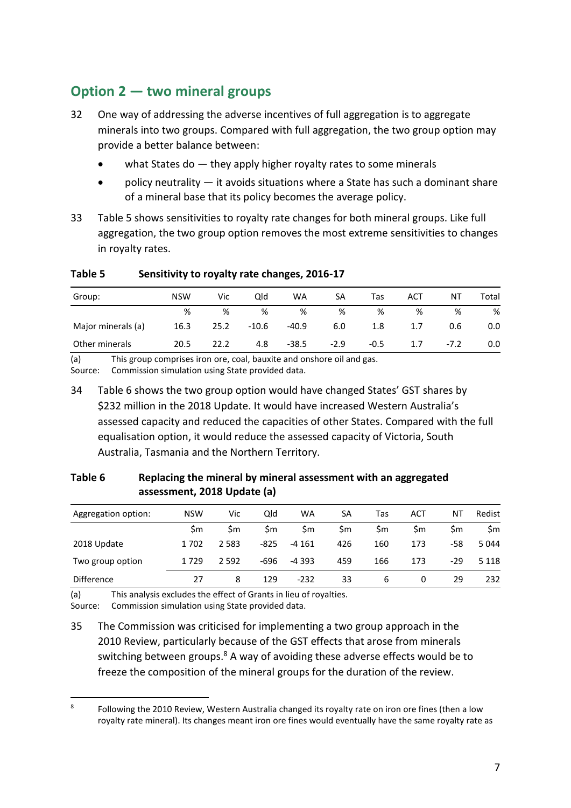# <span id="page-9-0"></span>**Option 2 — two mineral groups**

- 32 One way of addressing the adverse incentives of full aggregation is to aggregate minerals into two groups. Compared with full aggregation, the two group option may provide a better balance between:
	- what States do they apply higher royalty rates to some minerals
	- policy neutrality it avoids situations where a State has such a dominant share of a mineral base that its policy becomes the average policy.
- 33 [Table](#page-9-1) 5 shows sensitivities to royalty rate changes for both mineral groups. Like full aggregation, the two group option removes the most extreme sensitivities to changes in royalty rates.

| Group:             | <b>NSW</b> | Vic  | Qld   | WA      | SA     | Tas    | ACT | ΝT     | Total |
|--------------------|------------|------|-------|---------|--------|--------|-----|--------|-------|
|                    | %          | %    | %     | %       | %      | %      | %   | %      | %     |
| Major minerals (a) | 16.3       | 25.2 | -10.6 | $-40.9$ | 6.0    | 1.8    | 1.7 | 0.6    | 0.0   |
| Other minerals     | 20.5       | 22.2 | 4.8   | $-38.5$ | $-2.9$ | $-0.5$ | 1.7 | $-7.2$ | 0.0   |

#### <span id="page-9-1"></span>**Table 5 Sensitivity to royalty rate changes, 2016-17**

(a) This group comprises iron ore, coal, bauxite and onshore oil and gas.

Source: Commission simulation using State provided data.

34 [Table](#page-9-2) 6 shows the two group option would have changed States' GST shares by \$232 million in the 2018 Update. It would have increased Western Australia's assessed capacity and reduced the capacities of other States. Compared with the full equalisation option, it would reduce the assessed capacity of Victoria, South Australia, Tasmania and the Northern Territory.

| Aggregation option: | <b>NSW</b> | Vic     | Qld    | WA      | SA  | Tas | ACT | ΝT  | Redist  |
|---------------------|------------|---------|--------|---------|-----|-----|-----|-----|---------|
|                     | \$m        | \$m     | \$m    | Sm      | \$m | \$m | \$m | \$m | \$m     |
| 2018 Update         | 1702       | 2 5 8 3 | $-825$ | $-4161$ | 426 | 160 | 173 | -58 | 5044    |
| Two group option    | 1729       | 2 5 9 2 | -696   | $-4393$ | 459 | 166 | 173 | -29 | 5 1 1 8 |
| <b>Difference</b>   | 27         | 8       | 129    | $-232$  | 33  | 6   | 0   | 29  | 232     |

#### <span id="page-9-2"></span>**Table 6 Replacing the mineral by mineral assessment with an aggregated assessment, 2018 Update (a)**

(a) This analysis excludes the effect of Grants in lieu of royalties.

Source: Commission simulation using State provided data.

35 The Commission was criticised for implementing a two group approach in the 2010 Review, particularly because of the GST effects that arose from minerals switching between groups.<sup>8</sup> A way of avoiding these adverse effects would be to freeze the composition of the mineral groups for the duration of the review.

 $\overline{a}$ 8 Following the 2010 Review, Western Australia changed its royalty rate on iron ore fines (then a low royalty rate mineral). Its changes meant iron ore fines would eventually have the same royalty rate as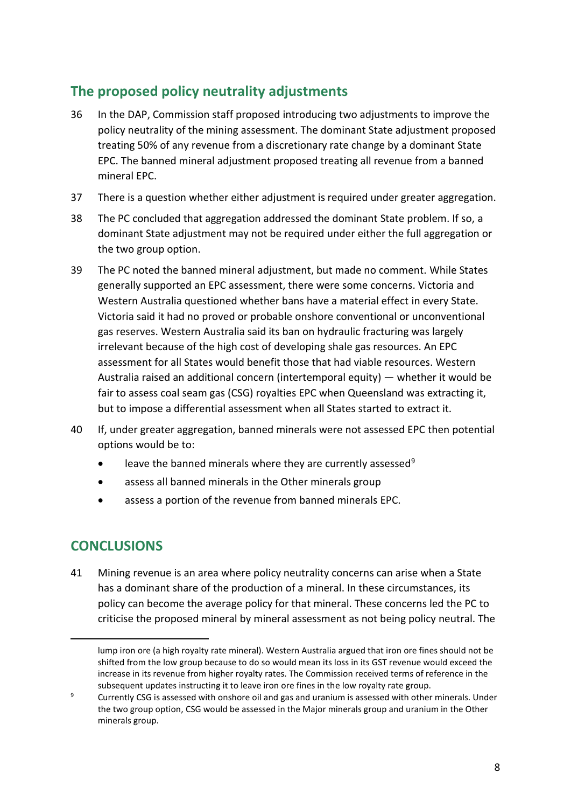# <span id="page-10-0"></span>**The proposed policy neutrality adjustments**

- 36 In the DAP, Commission staff proposed introducing two adjustments to improve the policy neutrality of the mining assessment. The dominant State adjustment proposed treating 50% of any revenue from a discretionary rate change by a dominant State EPC. The banned mineral adjustment proposed treating all revenue from a banned mineral EPC.
- 37 There is a question whether either adjustment is required under greater aggregation.
- 38 The PC concluded that aggregation addressed the dominant State problem. If so, a dominant State adjustment may not be required under either the full aggregation or the two group option.
- 39 The PC noted the banned mineral adjustment, but made no comment. While States generally supported an EPC assessment, there were some concerns. Victoria and Western Australia questioned whether bans have a material effect in every State. Victoria said it had no proved or probable onshore conventional or unconventional gas reserves. Western Australia said its ban on hydraulic fracturing was largely irrelevant because of the high cost of developing shale gas resources. An EPC assessment for all States would benefit those that had viable resources. Western Australia raised an additional concern (intertemporal equity) — whether it would be fair to assess coal seam gas (CSG) royalties EPC when Queensland was extracting it, but to impose a differential assessment when all States started to extract it.
- 40 If, under greater aggregation, banned minerals were not assessed EPC then potential options would be to:
	- **•** leave the banned minerals where they are currently assessed<sup>9</sup>
	- assess all banned minerals in the Other minerals group
	- assess a portion of the revenue from banned minerals EPC.

### <span id="page-10-1"></span>**CONCLUSIONS**

 $\overline{a}$ 

41 Mining revenue is an area where policy neutrality concerns can arise when a State has a dominant share of the production of a mineral. In these circumstances, its policy can become the average policy for that mineral. These concerns led the PC to criticise the proposed mineral by mineral assessment as not being policy neutral. The

lump iron ore (a high royalty rate mineral). Western Australia argued that iron ore fines should not be shifted from the low group because to do so would mean its loss in its GST revenue would exceed the increase in its revenue from higher royalty rates. The Commission received terms of reference in the subsequent updates instructing it to leave iron ore fines in the low royalty rate group.

<sup>&</sup>lt;sup>9</sup> Currently CSG is assessed with onshore oil and gas and uranium is assessed with other minerals. Under the two group option, CSG would be assessed in the Major minerals group and uranium in the Other minerals group.